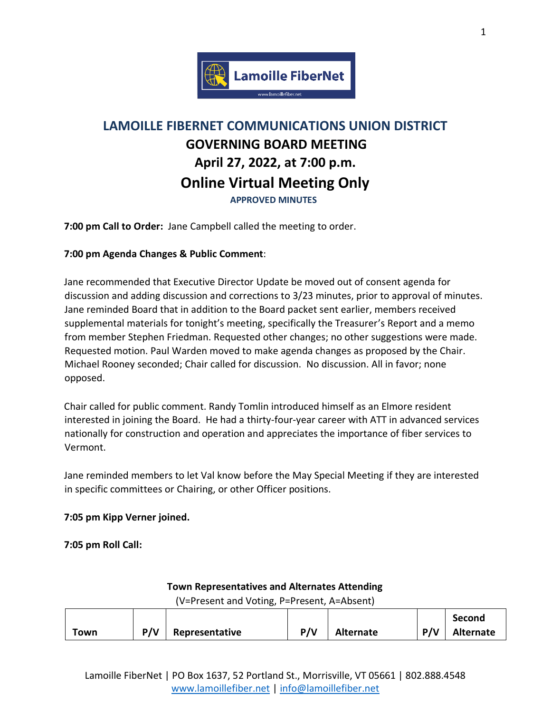

# **LAMOILLE FIBERNET COMMUNICATIONS UNION DISTRICT GOVERNING BOARD MEETING April 27, 2022, at 7:00 p.m. Online Virtual Meeting Only APPROVED MINUTES**

**7:00 pm Call to Order:** Jane Campbell called the meeting to order.

### **7:00 pm Agenda Changes & Public Comment**:

Jane recommended that Executive Director Update be moved out of consent agenda for discussion and adding discussion and corrections to 3/23 minutes, prior to approval of minutes. Jane reminded Board that in addition to the Board packet sent earlier, members received supplemental materials for tonight's meeting, specifically the Treasurer's Report and a memo from member Stephen Friedman. Requested other changes; no other suggestions were made. Requested motion. Paul Warden moved to make agenda changes as proposed by the Chair. Michael Rooney seconded; Chair called for discussion. No discussion. All in favor; none opposed.

Chair called for public comment. Randy Tomlin introduced himself as an Elmore resident interested in joining the Board. He had a thirty-four-year career with ATT in advanced services nationally for construction and operation and appreciates the importance of fiber services to Vermont.

Jane reminded members to let Val know before the May Special Meeting if they are interested in specific committees or Chairing, or other Officer positions.

### **7:05 pm Kipp Verner joined.**

**7:05 pm Roll Call:** 

# **Town Representatives and Alternates Attending**

(V=Present and Voting, P=Present, A=Absent)

|      |     |                |     |                  |     | Second           |
|------|-----|----------------|-----|------------------|-----|------------------|
| Town | P/V | Representative | P/V | <b>Alternate</b> | P/V | <b>Alternate</b> |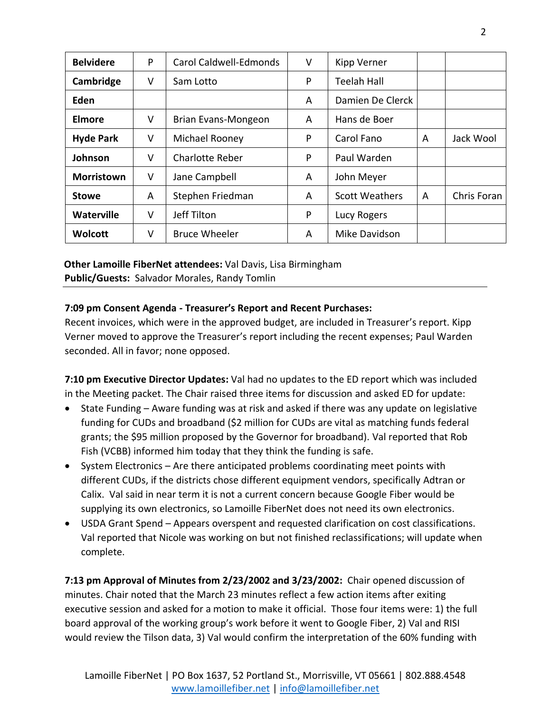| <b>Belvidere</b>  | P | Carol Caldwell-Edmonds | V | Kipp Verner           |   |             |
|-------------------|---|------------------------|---|-----------------------|---|-------------|
| Cambridge         | V | Sam Lotto              | P | <b>Teelah Hall</b>    |   |             |
| Eden              |   |                        | A | Damien De Clerck      |   |             |
| <b>Elmore</b>     | V | Brian Evans-Mongeon    | A | Hans de Boer          |   |             |
| <b>Hyde Park</b>  | V | Michael Rooney         | P | Carol Fano            | A | Jack Wool   |
| Johnson           | V | <b>Charlotte Reber</b> | P | Paul Warden           |   |             |
| <b>Morristown</b> | V | Jane Campbell          | A | John Meyer            |   |             |
| <b>Stowe</b>      | A | Stephen Friedman       | A | <b>Scott Weathers</b> | A | Chris Foran |
| <b>Waterville</b> | V | Jeff Tilton            | P | Lucy Rogers           |   |             |
| <b>Wolcott</b>    | V | <b>Bruce Wheeler</b>   | A | Mike Davidson         |   |             |

## **Other Lamoille FiberNet attendees:** Val Davis, Lisa Birmingham **Public/Guests:** Salvador Morales, Randy Tomlin

### **7:09 pm Consent Agenda - Treasurer's Report and Recent Purchases:**

Recent invoices, which were in the approved budget, are included in Treasurer's report. Kipp Verner moved to approve the Treasurer's report including the recent expenses; Paul Warden seconded. All in favor; none opposed.

**7:10 pm Executive Director Updates:** Val had no updates to the ED report which was included in the Meeting packet. The Chair raised three items for discussion and asked ED for update:

- State Funding Aware funding was at risk and asked if there was any update on legislative funding for CUDs and broadband (\$2 million for CUDs are vital as matching funds federal grants; the \$95 million proposed by the Governor for broadband). Val reported that Rob Fish (VCBB) informed him today that they think the funding is safe.
- System Electronics Are there anticipated problems coordinating meet points with different CUDs, if the districts chose different equipment vendors, specifically Adtran or Calix. Val said in near term it is not a current concern because Google Fiber would be supplying its own electronics, so Lamoille FiberNet does not need its own electronics.
- USDA Grant Spend Appears overspent and requested clarification on cost classifications. Val reported that Nicole was working on but not finished reclassifications; will update when complete.

**7:13 pm Approval of Minutes from 2/23/2002 and 3/23/2002:** Chair opened discussion of minutes. Chair noted that the March 23 minutes reflect a few action items after exiting executive session and asked for a motion to make it official. Those four items were: 1) the full board approval of the working group's work before it went to Google Fiber, 2) Val and RISI would review the Tilson data, 3) Val would confirm the interpretation of the 60% funding with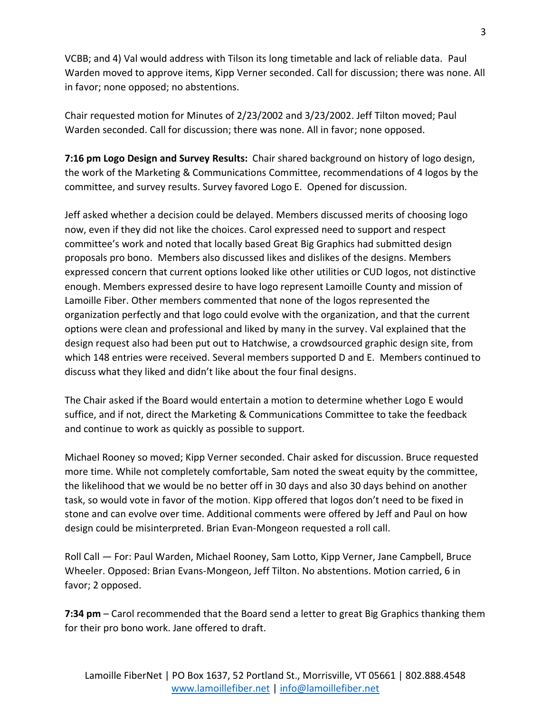VCBB; and 4) Val would address with Tilson its long timetable and lack of reliable data. Paul Warden moved to approve items, Kipp Verner seconded. Call for discussion; there was none. All in favor; none opposed; no abstentions.

Chair requested motion for Minutes of 2/23/2002 and 3/23/2002. Jeff Tilton moved; Paul Warden seconded. Call for discussion; there was none. All in favor; none opposed.

**7:16 pm Logo Design and Survey Results:** Chair shared background on history of logo design, the work of the Marketing & Communications Committee, recommendations of 4 logos by the committee, and survey results. Survey favored Logo E. Opened for discussion.

Jeff asked whether a decision could be delayed. Members discussed merits of choosing logo now, even if they did not like the choices. Carol expressed need to support and respect committee's work and noted that locally based Great Big Graphics had submitted design proposals pro bono. Members also discussed likes and dislikes of the designs. Members expressed concern that current options looked like other utilities or CUD logos, not distinctive enough. Members expressed desire to have logo represent Lamoille County and mission of Lamoille Fiber. Other members commented that none of the logos represented the organization perfectly and that logo could evolve with the organization, and that the current options were clean and professional and liked by many in the survey. Val explained that the design request also had been put out to Hatchwise, a crowdsourced graphic design site, from which 148 entries were received. Several members supported D and E. Members continued to discuss what they liked and didn't like about the four final designs.

The Chair asked if the Board would entertain a motion to determine whether Logo E would suffice, and if not, direct the Marketing & Communications Committee to take the feedback and continue to work as quickly as possible to support.

Michael Rooney so moved; Kipp Verner seconded. Chair asked for discussion. Bruce requested more time. While not completely comfortable, Sam noted the sweat equity by the committee, the likelihood that we would be no better off in 30 days and also 30 days behind on another task, so would vote in favor of the motion. Kipp offered that logos don't need to be fixed in stone and can evolve over time. Additional comments were offered by Jeff and Paul on how design could be misinterpreted. Brian Evan-Mongeon requested a roll call.

Roll Call — For: Paul Warden, Michael Rooney, Sam Lotto, Kipp Verner, Jane Campbell, Bruce Wheeler. Opposed: Brian Evans-Mongeon, Jeff Tilton. No abstentions. Motion carried, 6 in favor; 2 opposed.

**7:34 pm** – Carol recommended that the Board send a letter to great Big Graphics thanking them for their pro bono work. Jane offered to draft.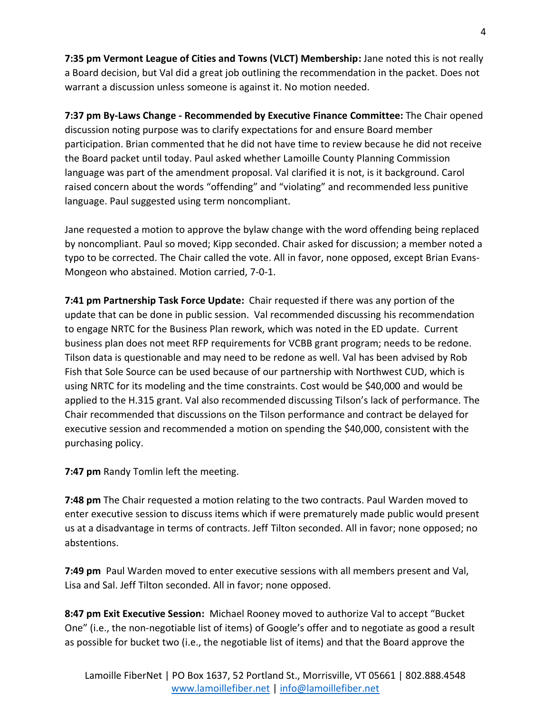**7:35 pm Vermont League of Cities and Towns (VLCT) Membership:** Jane noted this is not really a Board decision, but Val did a great job outlining the recommendation in the packet. Does not warrant a discussion unless someone is against it. No motion needed.

**7:37 pm By-Laws Change - Recommended by Executive Finance Committee:** The Chair opened discussion noting purpose was to clarify expectations for and ensure Board member participation. Brian commented that he did not have time to review because he did not receive the Board packet until today. Paul asked whether Lamoille County Planning Commission language was part of the amendment proposal. Val clarified it is not, is it background. Carol raised concern about the words "offending" and "violating" and recommended less punitive language. Paul suggested using term noncompliant.

Jane requested a motion to approve the bylaw change with the word offending being replaced by noncompliant. Paul so moved; Kipp seconded. Chair asked for discussion; a member noted a typo to be corrected. The Chair called the vote. All in favor, none opposed, except Brian Evans-Mongeon who abstained. Motion carried, 7-0-1.

**7:41 pm Partnership Task Force Update:** Chair requested if there was any portion of the update that can be done in public session. Val recommended discussing his recommendation to engage NRTC for the Business Plan rework, which was noted in the ED update. Current business plan does not meet RFP requirements for VCBB grant program; needs to be redone. Tilson data is questionable and may need to be redone as well. Val has been advised by Rob Fish that Sole Source can be used because of our partnership with Northwest CUD, which is using NRTC for its modeling and the time constraints. Cost would be \$40,000 and would be applied to the H.315 grant. Val also recommended discussing Tilson's lack of performance. The Chair recommended that discussions on the Tilson performance and contract be delayed for executive session and recommended a motion on spending the \$40,000, consistent with the purchasing policy.

**7:47 pm** Randy Tomlin left the meeting.

**7:48 pm** The Chair requested a motion relating to the two contracts. Paul Warden moved to enter executive session to discuss items which if were prematurely made public would present us at a disadvantage in terms of contracts. Jeff Tilton seconded. All in favor; none opposed; no abstentions.

**7:49 pm** Paul Warden moved to enter executive sessions with all members present and Val, Lisa and Sal. Jeff Tilton seconded. All in favor; none opposed.

**8:47 pm Exit Executive Session:** Michael Rooney moved to authorize Val to accept "Bucket One" (i.e., the non-negotiable list of items) of Google's offer and to negotiate as good a result as possible for bucket two (i.e., the negotiable list of items) and that the Board approve the